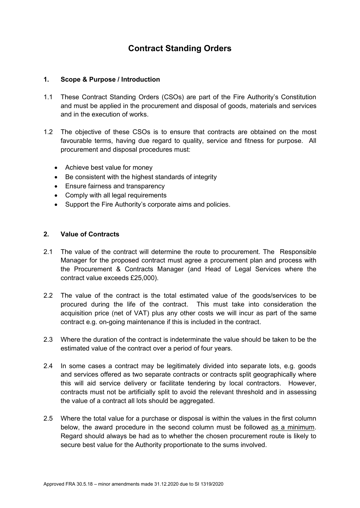# **Contract Standing Orders**

# **1. Scope & Purpose / Introduction**

- 1.1 These Contract Standing Orders (CSOs) are part of the Fire Authority's Constitution and must be applied in the procurement and disposal of goods, materials and services and in the execution of works.
- 1.2 The objective of these CSOs is to ensure that contracts are obtained on the most favourable terms, having due regard to quality, service and fitness for purpose. All procurement and disposal procedures must:
	- Achieve best value for money
	- Be consistent with the highest standards of integrity
	- Ensure fairness and transparency
	- Comply with all legal requirements
	- Support the Fire Authority's corporate aims and policies.

## **2. Value of Contracts**

- 2.1 The value of the contract will determine the route to procurement. The Responsible Manager for the proposed contract must agree a procurement plan and process with the Procurement & Contracts Manager (and Head of Legal Services where the contract value exceeds £25,000).
- 2.2 The value of the contract is the total estimated value of the goods/services to be procured during the life of the contract. This must take into consideration the acquisition price (net of VAT) plus any other costs we will incur as part of the same contract e.g. on-going maintenance if this is included in the contract.
- 2.3 Where the duration of the contract is indeterminate the value should be taken to be the estimated value of the contract over a period of four years.
- 2.4 In some cases a contract may be legitimately divided into separate lots, e.g. goods and services offered as two separate contracts or contracts split geographically where this will aid service delivery or facilitate tendering by local contractors. However, contracts must not be artificially split to avoid the relevant threshold and in assessing the value of a contract all lots should be aggregated.
- 2.5 Where the total value for a purchase or disposal is within the values in the first column below, the award procedure in the second column must be followed as a minimum. Regard should always be had as to whether the chosen procurement route is likely to secure best value for the Authority proportionate to the sums involved.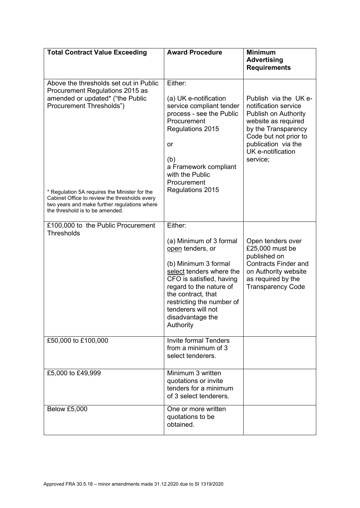| <b>Total Contract Value Exceeding</b>                                                                                                                                                                                                                                                       | <b>Award Procedure</b>                                                                                                                                                                                                                                                      | <b>Minimum</b>                                                                                                                                                                                       |
|---------------------------------------------------------------------------------------------------------------------------------------------------------------------------------------------------------------------------------------------------------------------------------------------|-----------------------------------------------------------------------------------------------------------------------------------------------------------------------------------------------------------------------------------------------------------------------------|------------------------------------------------------------------------------------------------------------------------------------------------------------------------------------------------------|
|                                                                                                                                                                                                                                                                                             |                                                                                                                                                                                                                                                                             | <b>Advertising</b><br><b>Requirements</b>                                                                                                                                                            |
| Above the thresholds set out in Public<br>Procurement Regulations 2015 as<br>amended or updated* ("the Public<br>Procurement Thresholds")<br>* Regulation 5A requires the Minister for the<br>Cabinet Office to review the thresholds every<br>two years and make further regulations where | Either:<br>(a) UK e-notification<br>service compliant tender<br>process - see the Public<br>Procurement<br>Regulations 2015<br>or<br>(b)<br>a Framework compliant<br>with the Public<br>Procurement<br>Regulations 2015                                                     | Publish via the UK e-<br>notification service<br>Publish on Authority<br>website as required<br>by the Transparency<br>Code but not prior to<br>publication via the<br>UK e-notification<br>service; |
| the threshold is to be amended.                                                                                                                                                                                                                                                             |                                                                                                                                                                                                                                                                             |                                                                                                                                                                                                      |
| £100,000 to the Public Procurement<br><b>Thresholds</b>                                                                                                                                                                                                                                     | Either:<br>(a) Minimum of 3 formal<br>open tenders, or<br>(b) Minimum 3 formal<br>select tenders where the<br>CFO is satisfied, having<br>regard to the nature of<br>the contract, that<br>restricting the number of<br>tenderers will not<br>disadvantage the<br>Authority | Open tenders over<br>£25,000 must be<br>published on<br><b>Contracts Finder and</b><br>on Authority website<br>as required by the<br><b>Transparency Code</b>                                        |
| £50,000 to £100,000                                                                                                                                                                                                                                                                         | <b>Invite formal Tenders</b><br>from a minimum of 3<br>select tenderers.                                                                                                                                                                                                    |                                                                                                                                                                                                      |
| £5,000 to £49,999                                                                                                                                                                                                                                                                           | Minimum 3 written<br>quotations or invite<br>tenders for a minimum<br>of 3 select tenderers.                                                                                                                                                                                |                                                                                                                                                                                                      |
| <b>Below £5,000</b>                                                                                                                                                                                                                                                                         | One or more written<br>quotations to be<br>obtained.                                                                                                                                                                                                                        |                                                                                                                                                                                                      |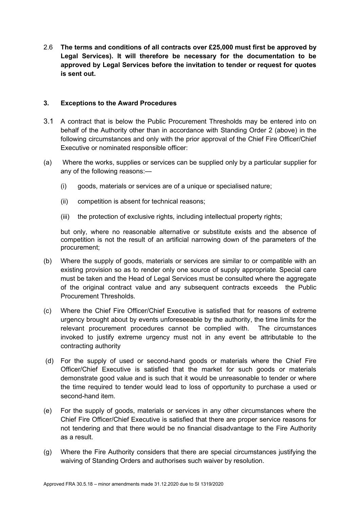2.6 **The terms and conditions of all contracts over £25,000 must first be approved by Legal Services). It will therefore be necessary for the documentation to be approved by Legal Services before the invitation to tender or request for quotes is sent out.** 

#### **3. Exceptions to the Award Procedures**

- 3.1 A contract that is below the Public Procurement Thresholds may be entered into on behalf of the Authority other than in accordance with Standing Order 2 (above) in the following circumstances and only with the prior approval of the Chief Fire Officer/Chief Executive or nominated responsible officer:
- (a) Where the works, supplies or services can be supplied only by a particular supplier for any of the following reasons:—
	- (i) goods, materials or services are of a unique or specialised nature;
	- (ii) competition is absent for technical reasons;
	- (iii) the protection of exclusive rights, including intellectual property rights;

but only, where no reasonable alternative or substitute exists and the absence of competition is not the result of an artificial narrowing down of the parameters of the procurement;

- (b) Where the supply of goods, materials or services are similar to or compatible with an existing provision so as to render only one source of supply appropriate. Special care must be taken and the Head of Legal Services must be consulted where the aggregate of the original contract value and any subsequent contracts exceeds the Public Procurement Thresholds.
- (c) Where the Chief Fire Officer/Chief Executive is satisfied that for reasons of extreme urgency brought about by events unforeseeable by the authority, the time limits for the relevant procurement procedures cannot be complied with. The circumstances invoked to justify extreme urgency must not in any event be attributable to the contracting authority
- (d) For the supply of used or second-hand goods or materials where the Chief Fire Officer/Chief Executive is satisfied that the market for such goods or materials demonstrate good value and is such that it would be unreasonable to tender or where the time required to tender would lead to loss of opportunity to purchase a used or second-hand item.
- (e) For the supply of goods, materials or services in any other circumstances where the Chief Fire Officer/Chief Executive is satisfied that there are proper service reasons for not tendering and that there would be no financial disadvantage to the Fire Authority as a result.
- (g) Where the Fire Authority considers that there are special circumstances justifying the waiving of Standing Orders and authorises such waiver by resolution.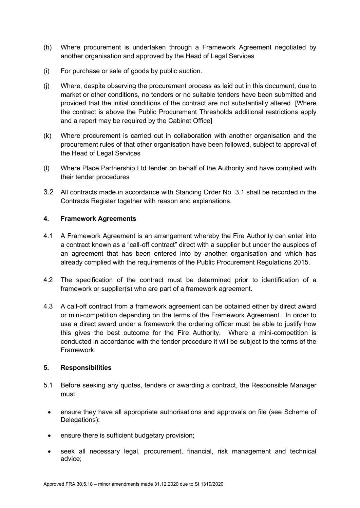- (h) Where procurement is undertaken through a Framework Agreement negotiated by another organisation and approved by the Head of Legal Services
- (i) For purchase or sale of goods by public auction.
- (j) Where, despite observing the procurement process as laid out in this document, due to market or other conditions, no tenders or no suitable tenders have been submitted and provided that the initial conditions of the contract are not substantially altered. [Where the contract is above the Public Procurement Thresholds additional restrictions apply and a report may be required by the Cabinet Office]
- (k) Where procurement is carried out in collaboration with another organisation and the procurement rules of that other organisation have been followed, subject to approval of the Head of Legal Services
- (l) Where Place Partnership Ltd tender on behalf of the Authority and have complied with their tender procedures
- 3.2 All contracts made in accordance with Standing Order No. 3.1 shall be recorded in the Contracts Register together with reason and explanations.

# **4. Framework Agreements**

- 4.1 A Framework Agreement is an arrangement whereby the Fire Authority can enter into a contract known as a "call-off contract" direct with a supplier but under the auspices of an agreement that has been entered into by another organisation and which has already complied with the requirements of the Public Procurement Regulations 2015.
- 4.2 The specification of the contract must be determined prior to identification of a framework or supplier(s) who are part of a framework agreement.
- 4.3 A call-off contract from a framework agreement can be obtained either by direct award or mini-competition depending on the terms of the Framework Agreement. In order to use a direct award under a framework the ordering officer must be able to justify how this gives the best outcome for the Fire Authority. Where a mini-competition is conducted in accordance with the tender procedure it will be subject to the terms of the Framework.

#### **5. Responsibilities**

- 5.1 Before seeking any quotes, tenders or awarding a contract, the Responsible Manager must:
	- ensure they have all appropriate authorisations and approvals on file (see Scheme of Delegations);
	- ensure there is sufficient budgetary provision;
	- seek all necessary legal, procurement, financial, risk management and technical advice;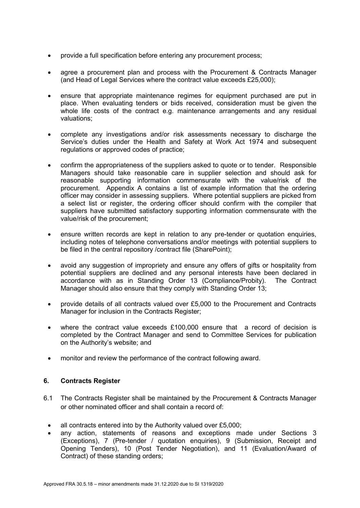- provide a full specification before entering any procurement process;
- agree a procurement plan and process with the Procurement & Contracts Manager (and Head of Legal Services where the contract value exceeds £25,000);
- ensure that appropriate maintenance regimes for equipment purchased are put in place. When evaluating tenders or bids received, consideration must be given the whole life costs of the contract e.g. maintenance arrangements and any residual valuations;
- complete any investigations and/or risk assessments necessary to discharge the Service's duties under the Health and Safety at Work Act 1974 and subsequent regulations or approved codes of practice;
- confirm the appropriateness of the suppliers asked to quote or to tender. Responsible Managers should take reasonable care in supplier selection and should ask for reasonable supporting information commensurate with the value/risk of the procurement. Appendix A contains a list of example information that the ordering officer may consider in assessing suppliers. Where potential suppliers are picked from a select list or register, the ordering officer should confirm with the compiler that suppliers have submitted satisfactory supporting information commensurate with the value/risk of the procurement;
- ensure written records are kept in relation to any pre-tender or quotation enquiries, including notes of telephone conversations and/or meetings with potential suppliers to be filed in the central repository / contract file (SharePoint);
- avoid any suggestion of impropriety and ensure any offers of gifts or hospitality from potential suppliers are declined and any personal interests have been declared in accordance with as in Standing Order 13 (Compliance/Probity). The Contract Manager should also ensure that they comply with Standing Order 13;
- provide details of all contracts valued over £5,000 to the Procurement and Contracts Manager for inclusion in the Contracts Register;
- where the contract value exceeds £100,000 ensure that a record of decision is completed by the Contract Manager and send to Committee Services for publication on the Authority's website; and
- monitor and review the performance of the contract following award.

#### **6. Contracts Register**

- 6.1 The Contracts Register shall be maintained by the Procurement & Contracts Manager or other nominated officer and shall contain a record of:
	- all contracts entered into by the Authority valued over £5,000;
	- any action, statements of reasons and exceptions made under Sections 3 (Exceptions), 7 (Pre-tender / quotation enquiries), 9 (Submission, Receipt and Opening Tenders), 10 (Post Tender Negotiation), and 11 (Evaluation/Award of Contract) of these standing orders;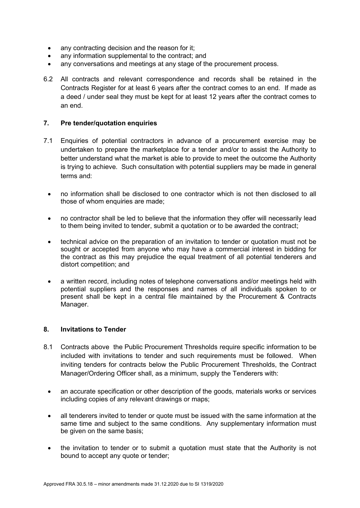- any contracting decision and the reason for it;
- any information supplemental to the contract; and
- any conversations and meetings at any stage of the procurement process.
- 6.2 All contracts and relevant correspondence and records shall be retained in the Contracts Register for at least 6 years after the contract comes to an end. If made as a deed / under seal they must be kept for at least 12 years after the contract comes to an end.

# **7. Pre tender/quotation enquiries**

- 7.1 Enquiries of potential contractors in advance of a procurement exercise may be undertaken to prepare the marketplace for a tender and/or to assist the Authority to better understand what the market is able to provide to meet the outcome the Authority is trying to achieve. Such consultation with potential suppliers may be made in general terms and:
	- no information shall be disclosed to one contractor which is not then disclosed to all those of whom enquiries are made;
	- no contractor shall be led to believe that the information they offer will necessarily lead to them being invited to tender, submit a quotation or to be awarded the contract;
	- technical advice on the preparation of an invitation to tender or quotation must not be sought or accepted from anyone who may have a commercial interest in bidding for the contract as this may prejudice the equal treatment of all potential tenderers and distort competition; and
	- a written record, including notes of telephone conversations and/or meetings held with potential suppliers and the responses and names of all individuals spoken to or present shall be kept in a central file maintained by the Procurement & Contracts Manager.

#### **8. Invitations to Tender**

- 8.1 Contracts above the Public Procurement Thresholds require specific information to be included with invitations to tender and such requirements must be followed. When inviting tenders for contracts below the Public Procurement Thresholds, the Contract Manager/Ordering Officer shall, as a minimum, supply the Tenderers with:
	- an accurate specification or other description of the goods, materials works or services including copies of any relevant drawings or maps;
	- all tenderers invited to tender or quote must be issued with the same information at the same time and subject to the same conditions. Any supplementary information must be given on the same basis;
	- the invitation to tender or to submit a quotation must state that the Authority is not bound to accept any quote or tender;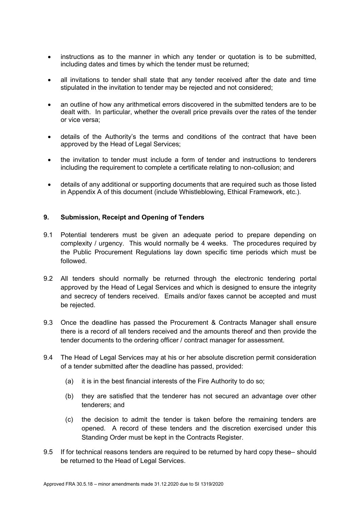- instructions as to the manner in which any tender or quotation is to be submitted, including dates and times by which the tender must be returned;
- all invitations to tender shall state that any tender received after the date and time stipulated in the invitation to tender may be rejected and not considered;
- an outline of how any arithmetical errors discovered in the submitted tenders are to be dealt with. In particular, whether the overall price prevails over the rates of the tender or vice versa;
- details of the Authority's the terms and conditions of the contract that have been approved by the Head of Legal Services;
- the invitation to tender must include a form of tender and instructions to tenderers including the requirement to complete a certificate relating to non-collusion; and
- details of any additional or supporting documents that are required such as those listed in Appendix A of this document (include Whistleblowing, Ethical Framework, etc.).

#### **9. Submission, Receipt and Opening of Tenders**

- 9.1 Potential tenderers must be given an adequate period to prepare depending on complexity / urgency. This would normally be 4 weeks. The procedures required by the Public Procurement Regulations lay down specific time periods which must be followed.
- 9.2 All tenders should normally be returned through the electronic tendering portal approved by the Head of Legal Services and which is designed to ensure the integrity and secrecy of tenders received. Emails and/or faxes cannot be accepted and must be rejected.
- 9.3 Once the deadline has passed the Procurement & Contracts Manager shall ensure there is a record of all tenders received and the amounts thereof and then provide the tender documents to the ordering officer / contract manager for assessment.
- 9.4 The Head of Legal Services may at his or her absolute discretion permit consideration of a tender submitted after the deadline has passed, provided:
	- (a) it is in the best financial interests of the Fire Authority to do so;
	- (b) they are satisfied that the tenderer has not secured an advantage over other tenderers; and
	- (c) the decision to admit the tender is taken before the remaining tenders are opened. A record of these tenders and the discretion exercised under this Standing Order must be kept in the Contracts Register.
- 9.5 If for technical reasons tenders are required to be returned by hard copy these– should be returned to the Head of Legal Services.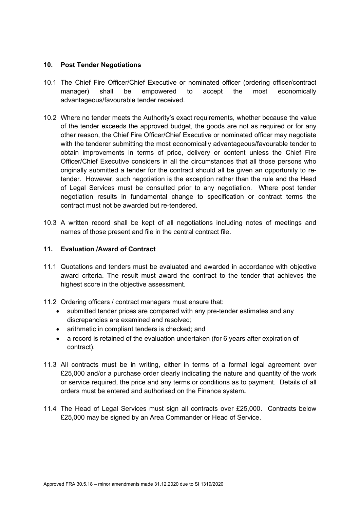# **10. Post Tender Negotiations**

- 10.1 The Chief Fire Officer/Chief Executive or nominated officer (ordering officer/contract manager) shall be empowered to accept the most economically advantageous/favourable tender received.
- 10.2 Where no tender meets the Authority's exact requirements, whether because the value of the tender exceeds the approved budget, the goods are not as required or for any other reason, the Chief Fire Officer/Chief Executive or nominated officer may negotiate with the tenderer submitting the most economically advantageous/favourable tender to obtain improvements in terms of price, delivery or content unless the Chief Fire Officer/Chief Executive considers in all the circumstances that all those persons who originally submitted a tender for the contract should all be given an opportunity to retender. However, such negotiation is the exception rather than the rule and the Head of Legal Services must be consulted prior to any negotiation. Where post tender negotiation results in fundamental change to specification or contract terms the contract must not be awarded but re-tendered.
- 10.3 A written record shall be kept of all negotiations including notes of meetings and names of those present and file in the central contract file.

# **11. Evaluation /Award of Contract**

- 11.1 Quotations and tenders must be evaluated and awarded in accordance with objective award criteria. The result must award the contract to the tender that achieves the highest score in the objective assessment.
- 11.2 Ordering officers / contract managers must ensure that:
	- submitted tender prices are compared with any pre-tender estimates and any discrepancies are examined and resolved;
	- arithmetic in compliant tenders is checked; and
	- a record is retained of the evaluation undertaken (for 6 years after expiration of contract).
- 11.3 All contracts must be in writing, either in terms of a formal legal agreement over £25,000 and/or a purchase order clearly indicating the nature and quantity of the work or service required, the price and any terms or conditions as to payment. Details of all orders must be entered and authorised on the Finance system**.**
- 11.4 The Head of Legal Services must sign all contracts over £25,000. Contracts below £25,000 may be signed by an Area Commander or Head of Service.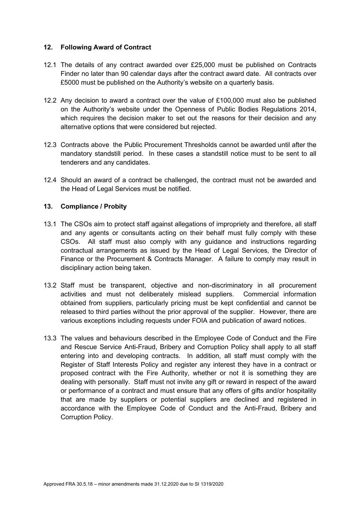#### **12. Following Award of Contract**

- 12.1 The details of any contract awarded over £25,000 must be published on Contracts Finder no later than 90 calendar days after the contract award date. All contracts over £5000 must be published on the Authority's website on a quarterly basis.
- 12.2 Any decision to award a contract over the value of £100,000 must also be published on the Authority's website under the Openness of Public Bodies Regulations 2014, which requires the decision maker to set out the reasons for their decision and any alternative options that were considered but rejected.
- 12.3 Contracts above the Public Procurement Thresholds cannot be awarded until after the mandatory standstill period. In these cases a standstill notice must to be sent to all tenderers and any candidates.
- 12.4 Should an award of a contract be challenged, the contract must not be awarded and the Head of Legal Services must be notified.

# **13. Compliance / Probity**

- 13.1 The CSOs aim to protect staff against allegations of impropriety and therefore, all staff and any agents or consultants acting on their behalf must fully comply with these CSOs. All staff must also comply with any guidance and instructions regarding contractual arrangements as issued by the Head of Legal Services, the Director of Finance or the Procurement & Contracts Manager. A failure to comply may result in disciplinary action being taken.
- 13.2 Staff must be transparent, objective and non-discriminatory in all procurement activities and must not deliberately mislead suppliers. Commercial information obtained from suppliers, particularly pricing must be kept confidential and cannot be released to third parties without the prior approval of the supplier. However, there are various exceptions including requests under FOIA and publication of award notices.
- 13.3 The values and behaviours described in the Employee Code of Conduct and the Fire and Rescue Service Anti-Fraud, Bribery and Corruption Policy shall apply to all staff entering into and developing contracts. In addition, all staff must comply with the Register of Staff Interests Policy and register any interest they have in a contract or proposed contract with the Fire Authority, whether or not it is something they are dealing with personally. Staff must not invite any gift or reward in respect of the award or performance of a contract and must ensure that any offers of gifts and/or hospitality that are made by suppliers or potential suppliers are declined and registered in accordance with the Employee Code of Conduct and the Anti-Fraud, Bribery and Corruption Policy.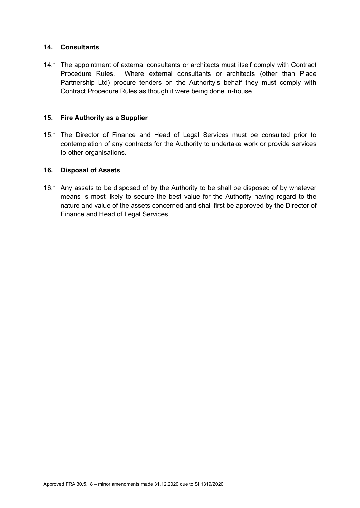# **14. Consultants**

14.1 The appointment of external consultants or architects must itself comply with Contract Procedure Rules. Where external consultants or architects (other than Place Partnership Ltd) procure tenders on the Authority's behalf they must comply with Contract Procedure Rules as though it were being done in-house.

# **15. Fire Authority as a Supplier**

15.1 The Director of Finance and Head of Legal Services must be consulted prior to contemplation of any contracts for the Authority to undertake work or provide services to other organisations.

# **16. Disposal of Assets**

16.1 Any assets to be disposed of by the Authority to be shall be disposed of by whatever means is most likely to secure the best value for the Authority having regard to the nature and value of the assets concerned and shall first be approved by the Director of Finance and Head of Legal Services